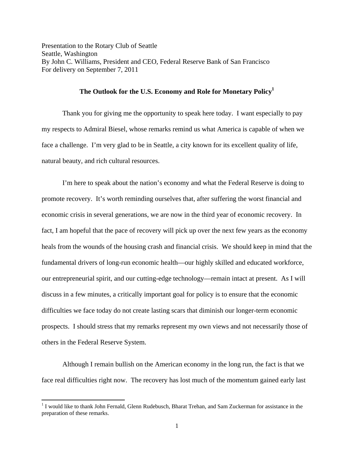Presentation to the Rotary Club of Seattle Seattle, Washington By John C. Williams, President and CEO, Federal Reserve Bank of San Francisco For delivery on September 7, 2011

## **The Outlook for the U.S. Economy and Role for Monetary Policy1**

 Thank you for giving me the opportunity to speak here today. I want especially to pay my respects to Admiral Biesel, whose remarks remind us what America is capable of when we face a challenge. I'm very glad to be in Seattle, a city known for its excellent quality of life, natural beauty, and rich cultural resources.

 I'm here to speak about the nation's economy and what the Federal Reserve is doing to promote recovery. It's worth reminding ourselves that, after suffering the worst financial and economic crisis in several generations, we are now in the third year of economic recovery. In fact, I am hopeful that the pace of recovery will pick up over the next few years as the economy heals from the wounds of the housing crash and financial crisis. We should keep in mind that the fundamental drivers of long-run economic health—our highly skilled and educated workforce, our entrepreneurial spirit, and our cutting-edge technology—remain intact at present. As I will discuss in a few minutes, a critically important goal for policy is to ensure that the economic difficulties we face today do not create lasting scars that diminish our longer-term economic prospects. I should stress that my remarks represent my own views and not necessarily those of others in the Federal Reserve System.

 Although I remain bullish on the American economy in the long run, the fact is that we face real difficulties right now. The recovery has lost much of the momentum gained early last

<sup>&</sup>lt;sup>1</sup> I would like to thank John Fernald, Glenn Rudebusch, Bharat Trehan, and Sam Zuckerman for assistance in the preparation of these remarks.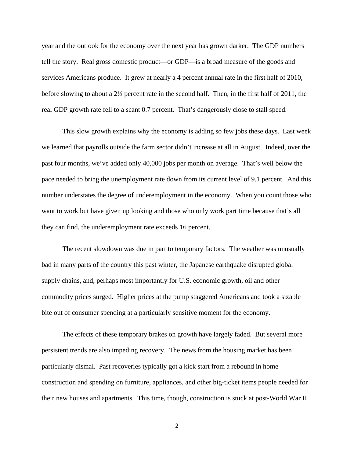year and the outlook for the economy over the next year has grown darker. The GDP numbers tell the story. Real gross domestic product—or GDP—is a broad measure of the goods and services Americans produce. It grew at nearly a 4 percent annual rate in the first half of 2010, before slowing to about a 2½ percent rate in the second half. Then, in the first half of 2011, the real GDP growth rate fell to a scant 0.7 percent. That's dangerously close to stall speed.

This slow growth explains why the economy is adding so few jobs these days. Last week we learned that payrolls outside the farm sector didn't increase at all in August. Indeed, over the past four months, we've added only 40,000 jobs per month on average. That's well below the pace needed to bring the unemployment rate down from its current level of 9.1 percent. And this number understates the degree of underemployment in the economy. When you count those who want to work but have given up looking and those who only work part time because that's all they can find, the underemployment rate exceeds 16 percent.

The recent slowdown was due in part to temporary factors. The weather was unusually bad in many parts of the country this past winter, the Japanese earthquake disrupted global supply chains, and, perhaps most importantly for U.S. economic growth, oil and other commodity prices surged. Higher prices at the pump staggered Americans and took a sizable bite out of consumer spending at a particularly sensitive moment for the economy.

The effects of these temporary brakes on growth have largely faded. But several more persistent trends are also impeding recovery. The news from the housing market has been particularly dismal. Past recoveries typically got a kick start from a rebound in home construction and spending on furniture, appliances, and other big-ticket items people needed for their new houses and apartments. This time, though, construction is stuck at post-World War II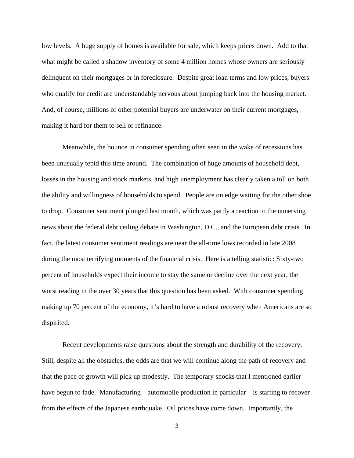low levels. A huge supply of homes is available for sale, which keeps prices down. Add to that what might be called a shadow inventory of some 4 million homes whose owners are seriously delinquent on their mortgages or in foreclosure. Despite great loan terms and low prices, buyers who qualify for credit are understandably nervous about jumping back into the housing market. And, of course, millions of other potential buyers are underwater on their current mortgages, making it hard for them to sell or refinance.

Meanwhile, the bounce in consumer spending often seen in the wake of recessions has been unusually tepid this time around. The combination of huge amounts of household debt, losses in the housing and stock markets, and high unemployment has clearly taken a toll on both the ability and willingness of households to spend. People are on edge waiting for the other shoe to drop. Consumer sentiment plunged last month, which was partly a reaction to the unnerving news about the federal debt ceiling debate in Washington, D.C., and the European debt crisis. In fact, the latest consumer sentiment readings are near the all-time lows recorded in late 2008 during the most terrifying moments of the financial crisis. Here is a telling statistic: Sixty-two percent of households expect their income to stay the same or decline over the next year, the worst reading in the over 30 years that this question has been asked. With consumer spending making up 70 percent of the economy, it's hard to have a robust recovery when Americans are so dispirited.

Recent developments raise questions about the strength and durability of the recovery. Still, despite all the obstacles, the odds are that we will continue along the path of recovery and that the pace of growth will pick up modestly. The temporary shocks that I mentioned earlier have begun to fade. Manufacturing—automobile production in particular—is starting to recover from the effects of the Japanese earthquake. Oil prices have come down. Importantly, the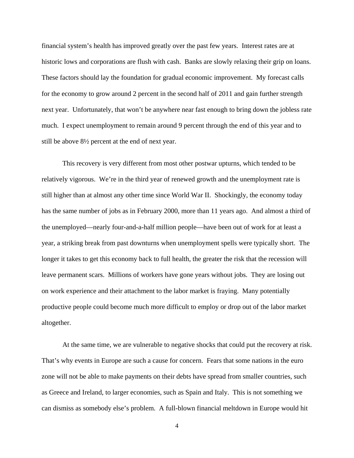financial system's health has improved greatly over the past few years. Interest rates are at historic lows and corporations are flush with cash. Banks are slowly relaxing their grip on loans. These factors should lay the foundation for gradual economic improvement. My forecast calls for the economy to grow around 2 percent in the second half of 2011 and gain further strength next year. Unfortunately, that won't be anywhere near fast enough to bring down the jobless rate much. I expect unemployment to remain around 9 percent through the end of this year and to still be above 8½ percent at the end of next year.

This recovery is very different from most other postwar upturns, which tended to be relatively vigorous. We're in the third year of renewed growth and the unemployment rate is still higher than at almost any other time since World War II. Shockingly, the economy today has the same number of jobs as in February 2000, more than 11 years ago. And almost a third of the unemployed—nearly four-and-a-half million people—have been out of work for at least a year, a striking break from past downturns when unemployment spells were typically short. The longer it takes to get this economy back to full health, the greater the risk that the recession will leave permanent scars. Millions of workers have gone years without jobs. They are losing out on work experience and their attachment to the labor market is fraying. Many potentially productive people could become much more difficult to employ or drop out of the labor market altogether.

At the same time, we are vulnerable to negative shocks that could put the recovery at risk. That's why events in Europe are such a cause for concern. Fears that some nations in the euro zone will not be able to make payments on their debts have spread from smaller countries, such as Greece and Ireland, to larger economies, such as Spain and Italy. This is not something we can dismiss as somebody else's problem. A full-blown financial meltdown in Europe would hit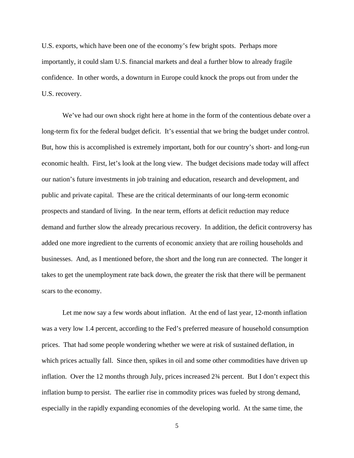U.S. exports, which have been one of the economy's few bright spots. Perhaps more importantly, it could slam U.S. financial markets and deal a further blow to already fragile confidence. In other words, a downturn in Europe could knock the props out from under the U.S. recovery.

We've had our own shock right here at home in the form of the contentious debate over a long-term fix for the federal budget deficit. It's essential that we bring the budget under control. But, how this is accomplished is extremely important, both for our country's short- and long-run economic health. First, let's look at the long view. The budget decisions made today will affect our nation's future investments in job training and education, research and development, and public and private capital. These are the critical determinants of our long-term economic prospects and standard of living. In the near term, efforts at deficit reduction may reduce demand and further slow the already precarious recovery. In addition, the deficit controversy has added one more ingredient to the currents of economic anxiety that are roiling households and businesses. And, as I mentioned before, the short and the long run are connected. The longer it takes to get the unemployment rate back down, the greater the risk that there will be permanent scars to the economy.

Let me now say a few words about inflation. At the end of last year, 12-month inflation was a very low 1.4 percent, according to the Fed's preferred measure of household consumption prices. That had some people wondering whether we were at risk of sustained deflation, in which prices actually fall. Since then, spikes in oil and some other commodities have driven up inflation. Over the 12 months through July, prices increased 2¾ percent. But I don't expect this inflation bump to persist. The earlier rise in commodity prices was fueled by strong demand, especially in the rapidly expanding economies of the developing world. At the same time, the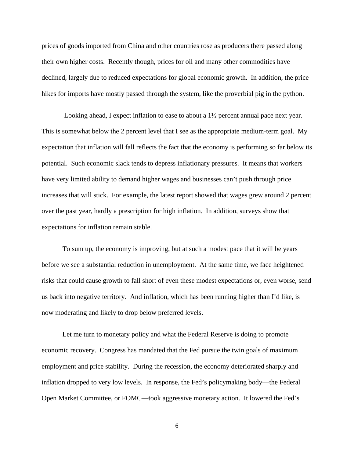prices of goods imported from China and other countries rose as producers there passed along their own higher costs. Recently though, prices for oil and many other commodities have declined, largely due to reduced expectations for global economic growth. In addition, the price hikes for imports have mostly passed through the system, like the proverbial pig in the python.

 Looking ahead, I expect inflation to ease to about a 1½ percent annual pace next year. This is somewhat below the 2 percent level that I see as the appropriate medium-term goal. My expectation that inflation will fall reflects the fact that the economy is performing so far below its potential. Such economic slack tends to depress inflationary pressures. It means that workers have very limited ability to demand higher wages and businesses can't push through price increases that will stick. For example, the latest report showed that wages grew around 2 percent over the past year, hardly a prescription for high inflation. In addition, surveys show that expectations for inflation remain stable.

To sum up, the economy is improving, but at such a modest pace that it will be years before we see a substantial reduction in unemployment. At the same time, we face heightened risks that could cause growth to fall short of even these modest expectations or, even worse, send us back into negative territory. And inflation, which has been running higher than I'd like, is now moderating and likely to drop below preferred levels.

Let me turn to monetary policy and what the Federal Reserve is doing to promote economic recovery. Congress has mandated that the Fed pursue the twin goals of maximum employment and price stability. During the recession, the economy deteriorated sharply and inflation dropped to very low levels. In response, the Fed's policymaking body—the Federal Open Market Committee, or FOMC—took aggressive monetary action. It lowered the Fed's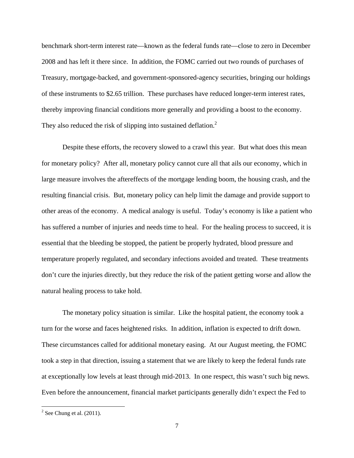benchmark short-term interest rate—known as the federal funds rate—close to zero in December 2008 and has left it there since. In addition, the FOMC carried out two rounds of purchases of Treasury, mortgage-backed, and government-sponsored-agency securities, bringing our holdings of these instruments to \$2.65 trillion. These purchases have reduced longer-term interest rates, thereby improving financial conditions more generally and providing a boost to the economy. They also reduced the risk of slipping into sustained deflation.<sup>2</sup>

Despite these efforts, the recovery slowed to a crawl this year. But what does this mean for monetary policy? After all, monetary policy cannot cure all that ails our economy, which in large measure involves the aftereffects of the mortgage lending boom, the housing crash, and the resulting financial crisis. But, monetary policy can help limit the damage and provide support to other areas of the economy. A medical analogy is useful. Today's economy is like a patient who has suffered a number of injuries and needs time to heal. For the healing process to succeed, it is essential that the bleeding be stopped, the patient be properly hydrated, blood pressure and temperature properly regulated, and secondary infections avoided and treated. These treatments don't cure the injuries directly, but they reduce the risk of the patient getting worse and allow the natural healing process to take hold.

The monetary policy situation is similar. Like the hospital patient, the economy took a turn for the worse and faces heightened risks. In addition, inflation is expected to drift down. These circumstances called for additional monetary easing. At our August meeting, the FOMC took a step in that direction, issuing a statement that we are likely to keep the federal funds rate at exceptionally low levels at least through mid-2013. In one respect, this wasn't such big news. Even before the announcement, financial market participants generally didn't expect the Fed to

 $2^2$  See Chung et al. (2011).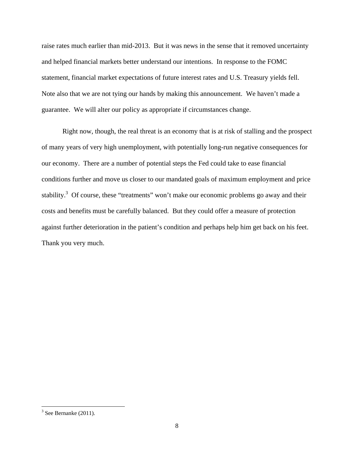raise rates much earlier than mid-2013. But it was news in the sense that it removed uncertainty and helped financial markets better understand our intentions. In response to the FOMC statement, financial market expectations of future interest rates and U.S. Treasury yields fell. Note also that we are not tying our hands by making this announcement. We haven't made a guarantee. We will alter our policy as appropriate if circumstances change.

Right now, though, the real threat is an economy that is at risk of stalling and the prospect of many years of very high unemployment, with potentially long-run negative consequences for our economy. There are a number of potential steps the Fed could take to ease financial conditions further and move us closer to our mandated goals of maximum employment and price stability.<sup>3</sup> Of course, these "treatments" won't make our economic problems go away and their costs and benefits must be carefully balanced. But they could offer a measure of protection against further deterioration in the patient's condition and perhaps help him get back on his feet. Thank you very much.

 $3$  See Bernanke (2011).